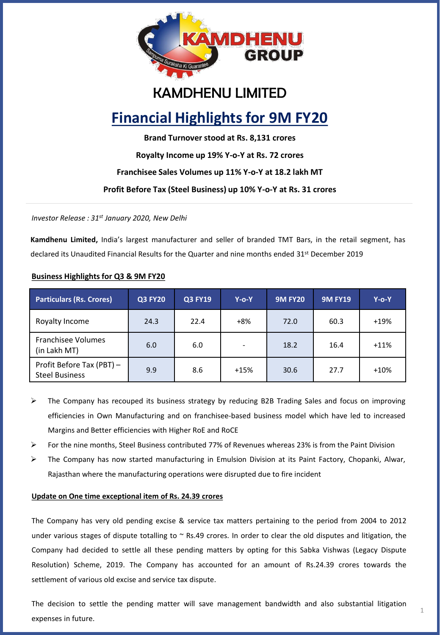

## KAMDHENU LIMITED

# **Financial Highlights for 9M FY20**

**Brand Turnover stood at Rs. 8,131 crores**

**Royalty Income up 19% Y-o-Y at Rs. 72 crores**

**Franchisee Sales Volumes up 11% Y-o-Y at 18.2 lakh MT**

**Profit Before Tax (Steel Business) up 10% Y-o-Y at Rs. 31 crores**

*Investor Release : 31st January 2020, New Delhi*

**Kamdhenu Limited,** India's largest manufacturer and seller of branded TMT Bars, in the retail segment, has declared its Unaudited Financial Results for the Quarter and nine months ended 31<sup>st</sup> December 2019

## **Business Highlights for Q3 & 9M FY20**

| <b>Particulars (Rs. Crores)</b>                    | <b>Q3 FY20</b> | <b>Q3 FY19</b> | $Y$ -o-Y                 | <b>9M FY20</b> | <b>9M FY19</b> | $Y$ -o-Y |
|----------------------------------------------------|----------------|----------------|--------------------------|----------------|----------------|----------|
| Royalty Income                                     | 24.3           | 22.4           | $+8%$                    | 72.0           | 60.3           | $+19%$   |
| <b>Franchisee Volumes</b><br>(in Lakh MT)          | 6.0            | 6.0            | $\overline{\phantom{a}}$ | 18.2           | 16.4           | $+11%$   |
| Profit Before Tax (PBT) -<br><b>Steel Business</b> | 9.9            | 8.6            | $+15%$                   | 30.6           | 27.7           | $+10%$   |

- ➢ The Company has recouped its business strategy by reducing B2B Trading Sales and focus on improving efficiencies in Own Manufacturing and on franchisee-based business model which have led to increased Margins and Better efficiencies with Higher RoE and RoCE
- ➢ For the nine months, Steel Business contributed 77% of Revenues whereas 23% is from the Paint Division
- ➢ The Company has now started manufacturing in Emulsion Division at its Paint Factory, Chopanki, Alwar, Rajasthan where the manufacturing operations were disrupted due to fire incident

## **Update on One time exceptional item of Rs. 24.39 crores**

The Company has very old pending excise & service tax matters pertaining to the period from 2004 to 2012 under various stages of dispute totalling to  $\sim$  Rs.49 crores. In order to clear the old disputes and litigation, the Company had decided to settle all these pending matters by opting for this Sabka Vishwas (Legacy Dispute Resolution) Scheme, 2019. The Company has accounted for an amount of Rs.24.39 crores towards the settlement of various old excise and service tax dispute.

The decision to settle the pending matter will save management bandwidth and also substantial litigation expenses in future.

1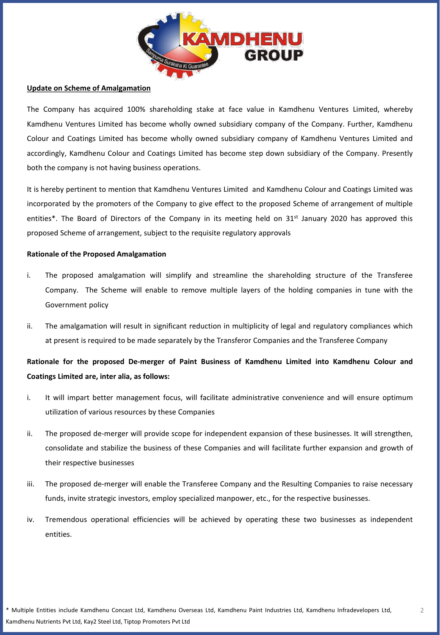

## **Update on Scheme of Amalgamation**

The Company has acquired 100% shareholding stake at face value in Kamdhenu Ventures Limited, whereby Kamdhenu Ventures Limited has become wholly owned subsidiary company of the Company. Further, Kamdhenu Colour and Coatings Limited has become wholly owned subsidiary company of Kamdhenu Ventures Limited and accordingly, Kamdhenu Colour and Coatings Limited has become step down subsidiary of the Company. Presently both the company is not having business operations.

It is hereby pertinent to mention that Kamdhenu Ventures Limited and Kamdhenu Colour and Coatings Limited was incorporated by the promoters of the Company to give effect to the proposed Scheme of arrangement of multiple entities\*. The Board of Directors of the Company in its meeting held on 31<sup>st</sup> January 2020 has approved this proposed Scheme of arrangement, subject to the requisite regulatory approvals

## **Rationale of the Proposed Amalgamation**

- i. The proposed amalgamation will simplify and streamline the shareholding structure of the Transferee Company. The Scheme will enable to remove multiple layers of the holding companies in tune with the Government policy
- ii. The amalgamation will result in significant reduction in multiplicity of legal and regulatory compliances which at present is required to be made separately by the Transferor Companies and the Transferee Company

## **Rationale for the proposed De-merger of Paint Business of Kamdhenu Limited into Kamdhenu Colour and Coatings Limited are, inter alia, as follows:**

- i. It will impart better management focus, will facilitate administrative convenience and will ensure optimum utilization of various resources by these Companies
- ii. The proposed de-merger will provide scope for independent expansion of these businesses. It will strengthen, consolidate and stabilize the business of these Companies and will facilitate further expansion and growth of their respective businesses
- iii. The proposed de-merger will enable the Transferee Company and the Resulting Companies to raise necessary funds, invite strategic investors, employ specialized manpower, etc., for the respective businesses.
- iv. Tremendous operational efficiencies will be achieved by operating these two businesses as independent entities.

2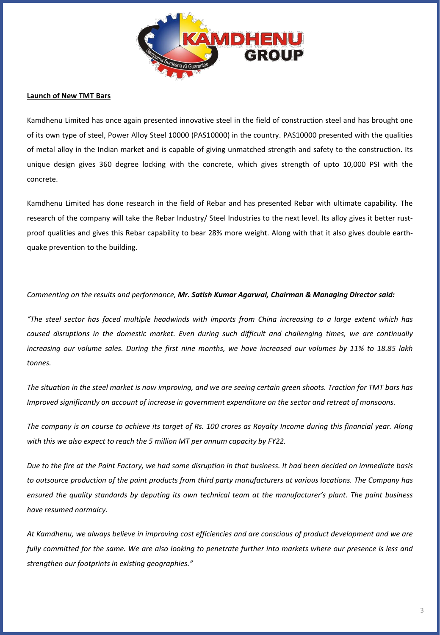

## **Launch of New TMT Bars**

Kamdhenu Limited has once again presented innovative steel in the field of construction steel and has brought one of its own type of steel, Power Alloy Steel 10000 (PAS10000) in the country. PAS10000 presented with the qualities of metal alloy in the Indian market and is capable of giving unmatched strength and safety to the construction. Its unique design gives 360 degree locking with the concrete, which gives strength of upto 10,000 PSI with the concrete.

Kamdhenu Limited has done research in the field of Rebar and has presented Rebar with ultimate capability. The research of the company will take the Rebar Industry/ Steel Industries to the next level. Its alloy gives it better rustproof qualities and gives this Rebar capability to bear 28% more weight. Along with that it also gives double earthquake prevention to the building.

## *Commenting on the results and performance, Mr. Satish Kumar Agarwal, Chairman & Managing Director said:*

"The steel sector has faced multiple headwinds with imports from China increasing to a large extent which has *caused disruptions in the domestic market. Even during such difficult and challenging times, we are continually* increasing our volume sales. During the first nine months, we have increased our volumes by 11% to 18.85 lakh *tonnes.*

The situation in the steel market is now improving, and we are seeing certain green shoots. Traction for TMT bars has *Improved significantly on account of increase in government expenditure on the sector and retreat of monsoons.*

The company is on course to achieve its target of Rs. 100 crores as Royalty Income during this financial year. Along *with this we also expect to reach the 5 million MT per annum capacity by FY22.*

Due to the fire at the Paint Factory, we had some disruption in that business. It had been decided on immediate basis to outsource production of the paint products from third party manufacturers at various locations. The Company has ensured the quality standards by deputing its own technical team at the manufacturer's plant. The paint business *have resumed normalcy.*

At Kamdhenu, we always believe in improving cost efficiencies and are conscious of product development and we are fully committed for the same. We are also looking to penetrate further into markets where our presence is less and *strengthen our footprints in existing geographies."*